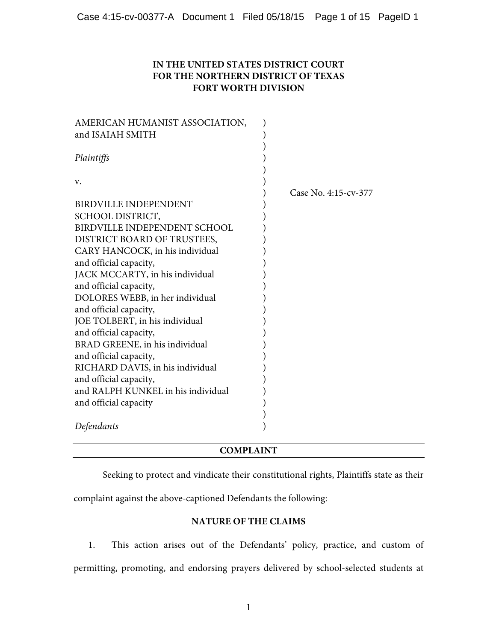# **IN THE UNITED STATES DISTRICT COURT FOR THE NORTHERN DISTRICT OF TEXAS FORT WORTH DIVISION**

| AMERICAN HUMANIST ASSOCIATION,     |                      |
|------------------------------------|----------------------|
| and ISAIAH SMITH                   |                      |
|                                    |                      |
| Plaintiffs                         |                      |
|                                    |                      |
| V.                                 |                      |
|                                    | Case No. 4:15-cv-377 |
| <b>BIRDVILLE INDEPENDENT</b>       |                      |
| SCHOOL DISTRICT,                   |                      |
| BIRDVILLE INDEPENDENT SCHOOL       |                      |
| DISTRICT BOARD OF TRUSTEES,        |                      |
| CARY HANCOCK, in his individual    |                      |
| and official capacity,             |                      |
| JACK MCCARTY, in his individual    |                      |
| and official capacity,             |                      |
| DOLORES WEBB, in her individual    |                      |
| and official capacity,             |                      |
| JOE TOLBERT, in his individual     |                      |
| and official capacity,             |                      |
| BRAD GREENE, in his individual     |                      |
| and official capacity,             |                      |
| RICHARD DAVIS, in his individual   |                      |
| and official capacity,             |                      |
| and RALPH KUNKEL in his individual |                      |
| and official capacity              |                      |
|                                    |                      |
| Defendants                         |                      |
|                                    |                      |

# **COMPLAINT**

Seeking to protect and vindicate their constitutional rights, Plaintiffs state as their

complaint against the above-captioned Defendants the following:

# **NATURE OF THE CLAIMS**

1. This action arises out of the Defendants' policy, practice, and custom of permitting, promoting, and endorsing prayers delivered by school-selected students at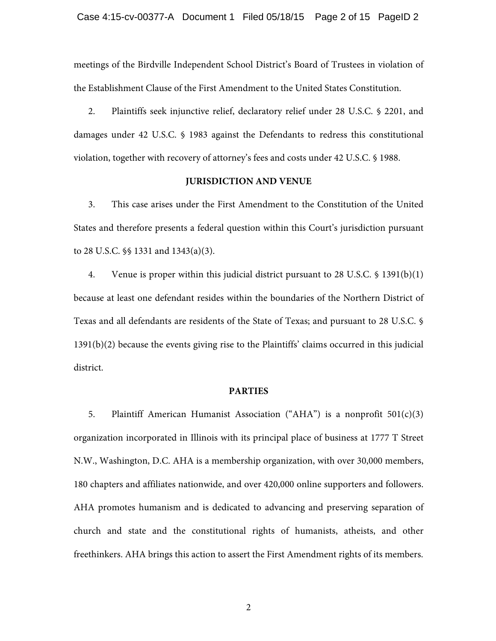meetings of the Birdville Independent School District's Board of Trustees in violation of the Establishment Clause of the First Amendment to the United States Constitution.

2. Plaintiffs seek injunctive relief, declaratory relief under 28 U.S.C. § 2201, and damages under 42 U.S.C. § 1983 against the Defendants to redress this constitutional violation, together with recovery of attorney's fees and costs under 42 U.S.C. § 1988.

### **JURISDICTION AND VENUE**

3. This case arises under the First Amendment to the Constitution of the United States and therefore presents a federal question within this Court's jurisdiction pursuant to 28 U.S.C. §§ 1331 and 1343(a)(3).

4. Venue is proper within this judicial district pursuant to 28 U.S.C. § 1391(b)(1) because at least one defendant resides within the boundaries of the Northern District of Texas and all defendants are residents of the State of Texas; and pursuant to 28 U.S.C. § 1391(b)(2) because the events giving rise to the Plaintiffs' claims occurred in this judicial district.

#### **PARTIES**

5. Plaintiff American Humanist Association ("AHA") is a nonprofit 501(c)(3) organization incorporated in Illinois with its principal place of business at 1777 T Street N.W., Washington, D.C. AHA is a membership organization, with over 30,000 members, 180 chapters and affiliates nationwide, and over 420,000 online supporters and followers. AHA promotes humanism and is dedicated to advancing and preserving separation of church and state and the constitutional rights of humanists, atheists, and other freethinkers. AHA brings this action to assert the First Amendment rights of its members.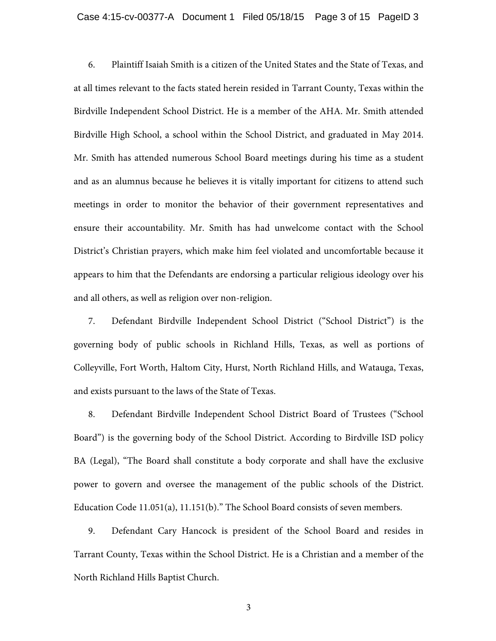### Case 4:15-cv-00377-A Document 1 Filed 05/18/15 Page 3 of 15 PageID 3

6. Plaintiff Isaiah Smith is a citizen of the United States and the State of Texas, and at all times relevant to the facts stated herein resided in Tarrant County, Texas within the Birdville Independent School District. He is a member of the AHA. Mr. Smith attended Birdville High School, a school within the School District, and graduated in May 2014. Mr. Smith has attended numerous School Board meetings during his time as a student and as an alumnus because he believes it is vitally important for citizens to attend such meetings in order to monitor the behavior of their government representatives and ensure their accountability. Mr. Smith has had unwelcome contact with the School District's Christian prayers, which make him feel violated and uncomfortable because it appears to him that the Defendants are endorsing a particular religious ideology over his and all others, as well as religion over non-religion.

7. Defendant Birdville Independent School District ("School District") is the governing body of public schools in Richland Hills, Texas, as well as portions of Colleyville, Fort Worth, Haltom City, Hurst, North Richland Hills, and Watauga, Texas, and exists pursuant to the laws of the State of Texas.

8. Defendant Birdville Independent School District Board of Trustees ("School Board") is the governing body of the School District. According to Birdville ISD policy BA (Legal), "The Board shall constitute a body corporate and shall have the exclusive power to govern and oversee the management of the public schools of the District. Education Code 11.051(a), 11.151(b)." The School Board consists of seven members.

9. Defendant Cary Hancock is president of the School Board and resides in Tarrant County, Texas within the School District. He is a Christian and a member of the North Richland Hills Baptist Church.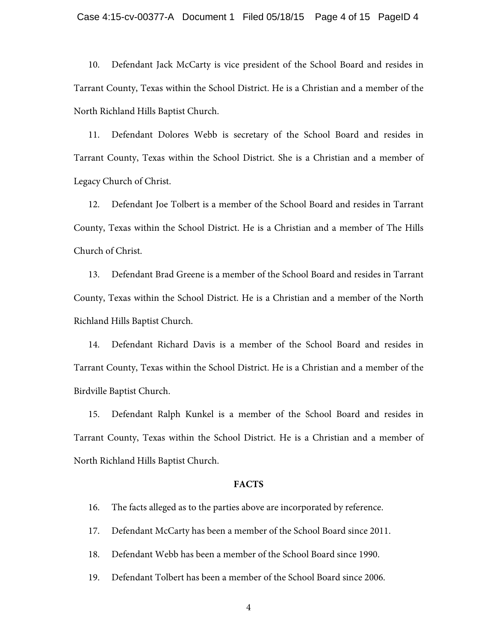10. Defendant Jack McCarty is vice president of the School Board and resides in Tarrant County, Texas within the School District. He is a Christian and a member of the North Richland Hills Baptist Church.

11. Defendant Dolores Webb is secretary of the School Board and resides in Tarrant County, Texas within the School District. She is a Christian and a member of Legacy Church of Christ.

12. Defendant Joe Tolbert is a member of the School Board and resides in Tarrant County, Texas within the School District. He is a Christian and a member of The Hills Church of Christ.

13. Defendant Brad Greene is a member of the School Board and resides in Tarrant County, Texas within the School District. He is a Christian and a member of the North Richland Hills Baptist Church.

14. Defendant Richard Davis is a member of the School Board and resides in Tarrant County, Texas within the School District. He is a Christian and a member of the Birdville Baptist Church.

15. Defendant Ralph Kunkel is a member of the School Board and resides in Tarrant County, Texas within the School District. He is a Christian and a member of North Richland Hills Baptist Church.

### **FACTS**

- 16. The facts alleged as to the parties above are incorporated by reference.
- 17. Defendant McCarty has been a member of the School Board since 2011.
- 18. Defendant Webb has been a member of the School Board since 1990.
- 19. Defendant Tolbert has been a member of the School Board since 2006.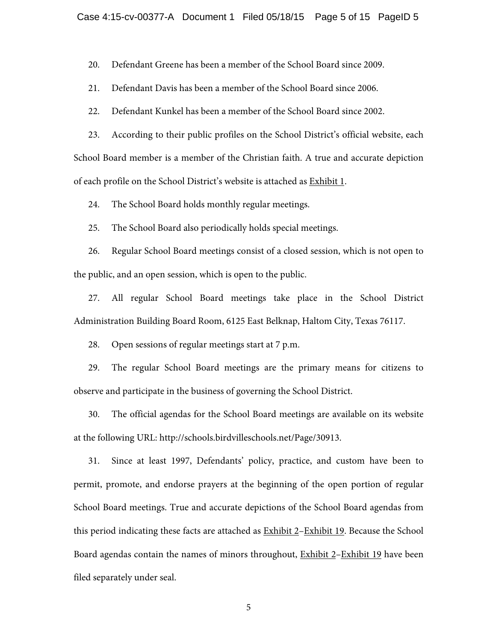#### Case 4:15-cv-00377-A Document 1 Filed 05/18/15 Page 5 of 15 PageID 5

20. Defendant Greene has been a member of the School Board since 2009.

21. Defendant Davis has been a member of the School Board since 2006.

22. Defendant Kunkel has been a member of the School Board since 2002.

23. According to their public profiles on the School District's official website, each School Board member is a member of the Christian faith. A true and accurate depiction of each profile on the School District's website is attached as Exhibit 1.

24. The School Board holds monthly regular meetings.

25. The School Board also periodically holds special meetings.

26. Regular School Board meetings consist of a closed session, which is not open to the public, and an open session, which is open to the public.

27. All regular School Board meetings take place in the School District Administration Building Board Room, 6125 East Belknap, Haltom City, Texas 76117.

28. Open sessions of regular meetings start at 7 p.m.

29. The regular School Board meetings are the primary means for citizens to observe and participate in the business of governing the School District.

30. The official agendas for the School Board meetings are available on its website at the following URL: http://schools.birdvilleschools.net/Page/30913.

31. Since at least 1997, Defendants' policy, practice, and custom have been to permit, promote, and endorse prayers at the beginning of the open portion of regular School Board meetings. True and accurate depictions of the School Board agendas from this period indicating these facts are attached as Exhibit 2–Exhibit 19. Because the School Board agendas contain the names of minors throughout, Exhibit 2–Exhibit 19 have been filed separately under seal.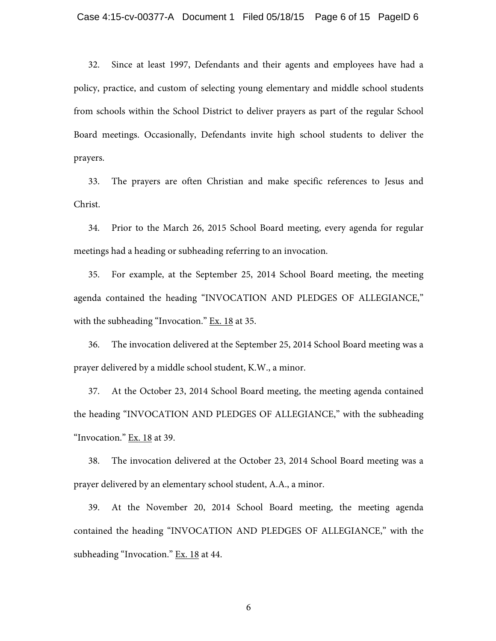32. Since at least 1997, Defendants and their agents and employees have had a policy, practice, and custom of selecting young elementary and middle school students from schools within the School District to deliver prayers as part of the regular School Board meetings. Occasionally, Defendants invite high school students to deliver the prayers.

33. The prayers are often Christian and make specific references to Jesus and Christ.

34. Prior to the March 26, 2015 School Board meeting, every agenda for regular meetings had a heading or subheading referring to an invocation.

35. For example, at the September 25, 2014 School Board meeting, the meeting agenda contained the heading "INVOCATION AND PLEDGES OF ALLEGIANCE," with the subheading "Invocation." Ex. 18 at 35.

36. The invocation delivered at the September 25, 2014 School Board meeting was a prayer delivered by a middle school student, K.W., a minor.

37. At the October 23, 2014 School Board meeting, the meeting agenda contained the heading "INVOCATION AND PLEDGES OF ALLEGIANCE," with the subheading "Invocation." Ex. 18 at 39.

38. The invocation delivered at the October 23, 2014 School Board meeting was a prayer delivered by an elementary school student, A.A., a minor.

39. At the November 20, 2014 School Board meeting, the meeting agenda contained the heading "INVOCATION AND PLEDGES OF ALLEGIANCE," with the subheading "Invocation." Ex. 18 at 44.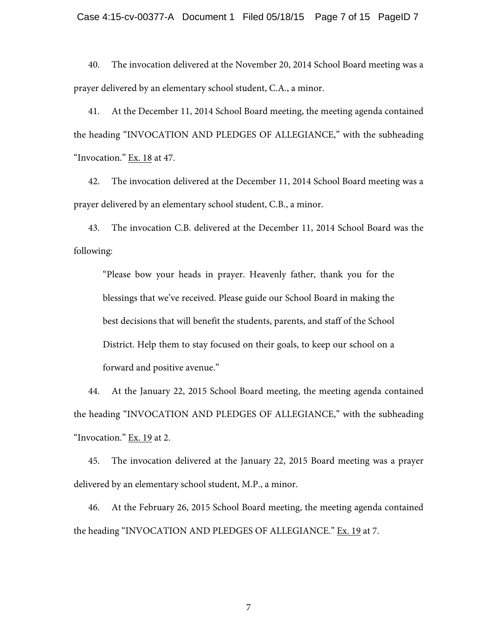### Case 4:15-cv-00377-A Document 1 Filed 05/18/15 Page 7 of 15 PageID 7

40. The invocation delivered at the November 20, 2014 School Board meeting was a prayer delivered by an elementary school student, C.A., a minor.

41. At the December 11, 2014 School Board meeting, the meeting agenda contained the heading "INVOCATION AND PLEDGES OF ALLEGIANCE," with the subheading "Invocation." Ex. 18 at 47.

42. The invocation delivered at the December 11, 2014 School Board meeting was a prayer delivered by an elementary school student, C.B., a minor.

43. The invocation C.B. delivered at the December 11, 2014 School Board was the following:

"Please bow your heads in prayer. Heavenly father, thank you for the blessings that we've received. Please guide our School Board in making the best decisions that will benefit the students, parents, and staff of the School District. Help them to stay focused on their goals, to keep our school on a forward and positive avenue."

44. At the January 22, 2015 School Board meeting, the meeting agenda contained the heading "INVOCATION AND PLEDGES OF ALLEGIANCE," with the subheading "Invocation." Ex. 19 at 2.

45. The invocation delivered at the January 22, 2015 Board meeting was a prayer delivered by an elementary school student, M.P., a minor.

46. At the February 26, 2015 School Board meeting, the meeting agenda contained the heading "INVOCATION AND PLEDGES OF ALLEGIANCE." Ex. 19 at 7.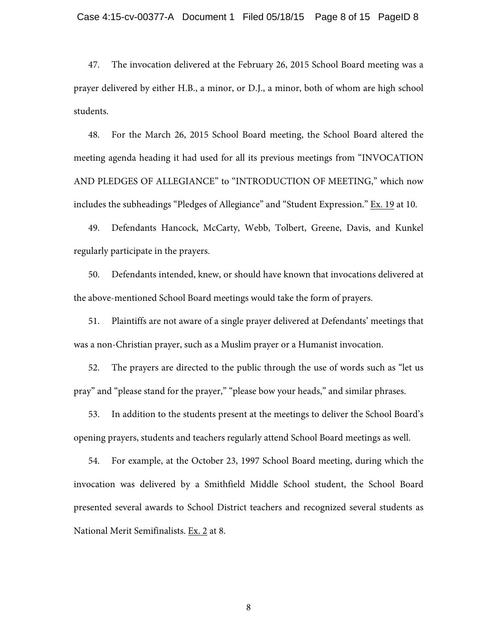47. The invocation delivered at the February 26, 2015 School Board meeting was a prayer delivered by either H.B., a minor, or D.J., a minor, both of whom are high school students.

48. For the March 26, 2015 School Board meeting, the School Board altered the meeting agenda heading it had used for all its previous meetings from "INVOCATION AND PLEDGES OF ALLEGIANCE" to "INTRODUCTION OF MEETING," which now includes the subheadings "Pledges of Allegiance" and "Student Expression." Ex. 19 at 10.

49. Defendants Hancock, McCarty, Webb, Tolbert, Greene, Davis, and Kunkel regularly participate in the prayers.

50. Defendants intended, knew, or should have known that invocations delivered at the above-mentioned School Board meetings would take the form of prayers.

51. Plaintiffs are not aware of a single prayer delivered at Defendants' meetings that was a non-Christian prayer, such as a Muslim prayer or a Humanist invocation.

52. The prayers are directed to the public through the use of words such as "let us pray" and "please stand for the prayer," "please bow your heads," and similar phrases.

53. In addition to the students present at the meetings to deliver the School Board's opening prayers, students and teachers regularly attend School Board meetings as well.

54. For example, at the October 23, 1997 School Board meeting, during which the invocation was delivered by a Smithfield Middle School student, the School Board presented several awards to School District teachers and recognized several students as National Merit Semifinalists. Ex. 2 at 8.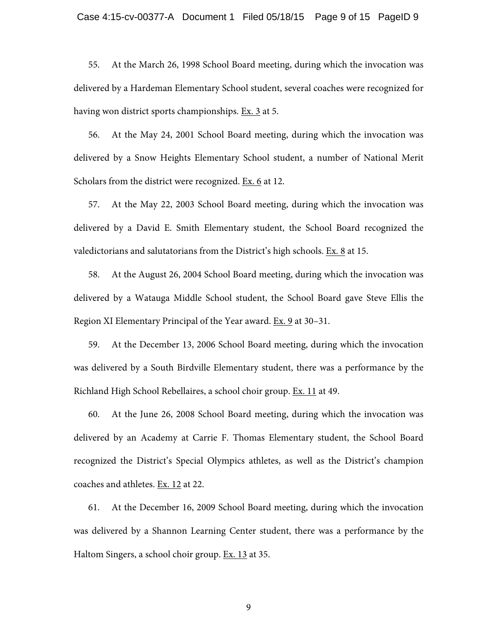55. At the March 26, 1998 School Board meeting, during which the invocation was delivered by a Hardeman Elementary School student, several coaches were recognized for having won district sports championships. Ex. 3 at 5.

56. At the May 24, 2001 School Board meeting, during which the invocation was delivered by a Snow Heights Elementary School student, a number of National Merit Scholars from the district were recognized. Ex. 6 at 12.

57. At the May 22, 2003 School Board meeting, during which the invocation was delivered by a David E. Smith Elementary student, the School Board recognized the valedictorians and salutatorians from the District's high schools. Ex. 8 at 15.

58. At the August 26, 2004 School Board meeting, during which the invocation was delivered by a Watauga Middle School student, the School Board gave Steve Ellis the Region XI Elementary Principal of the Year award. Ex. 9 at 30–31.

59. At the December 13, 2006 School Board meeting, during which the invocation was delivered by a South Birdville Elementary student, there was a performance by the Richland High School Rebellaires, a school choir group. Ex. 11 at 49.

60. At the June 26, 2008 School Board meeting, during which the invocation was delivered by an Academy at Carrie F. Thomas Elementary student, the School Board recognized the District's Special Olympics athletes, as well as the District's champion coaches and athletes. Ex. 12 at 22.

61. At the December 16, 2009 School Board meeting, during which the invocation was delivered by a Shannon Learning Center student, there was a performance by the Haltom Singers, a school choir group. Ex. 13 at 35.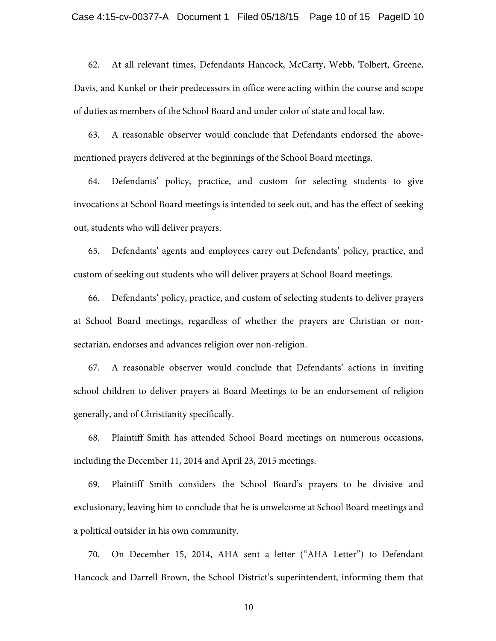62. At all relevant times, Defendants Hancock, McCarty, Webb, Tolbert, Greene, Davis, and Kunkel or their predecessors in office were acting within the course and scope of duties as members of the School Board and under color of state and local law.

63. A reasonable observer would conclude that Defendants endorsed the abovementioned prayers delivered at the beginnings of the School Board meetings.

64. Defendants' policy, practice, and custom for selecting students to give invocations at School Board meetings is intended to seek out, and has the effect of seeking out, students who will deliver prayers.

65. Defendants' agents and employees carry out Defendants' policy, practice, and custom of seeking out students who will deliver prayers at School Board meetings.

66. Defendants' policy, practice, and custom of selecting students to deliver prayers at School Board meetings, regardless of whether the prayers are Christian or nonsectarian, endorses and advances religion over non-religion.

67. A reasonable observer would conclude that Defendants' actions in inviting school children to deliver prayers at Board Meetings to be an endorsement of religion generally, and of Christianity specifically.

68. Plaintiff Smith has attended School Board meetings on numerous occasions, including the December 11, 2014 and April 23, 2015 meetings.

69. Plaintiff Smith considers the School Board's prayers to be divisive and exclusionary, leaving him to conclude that he is unwelcome at School Board meetings and a political outsider in his own community.

70. On December 15, 2014, AHA sent a letter ("AHA Letter") to Defendant Hancock and Darrell Brown, the School District's superintendent, informing them that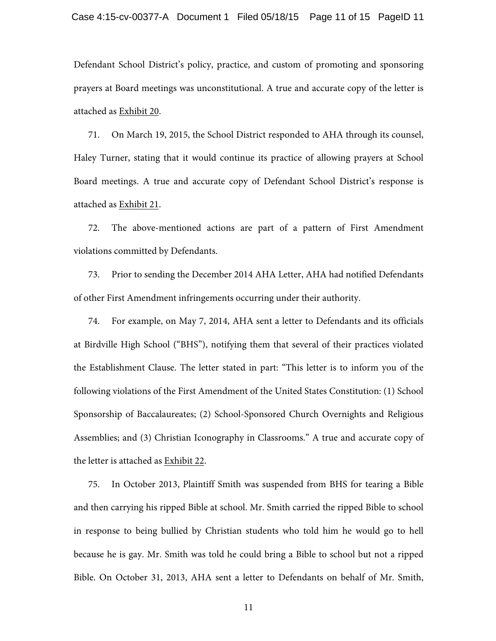Defendant School District's policy, practice, and custom of promoting and sponsoring prayers at Board meetings was unconstitutional. A true and accurate copy of the letter is attached as Exhibit 20.

71. On March 19, 2015, the School District responded to AHA through its counsel, Haley Turner, stating that it would continue its practice of allowing prayers at School Board meetings. A true and accurate copy of Defendant School District's response is attached as Exhibit 21.

72. The above-mentioned actions are part of a pattern of First Amendment violations committed by Defendants.

73. Prior to sending the December 2014 AHA Letter, AHA had notified Defendants of other First Amendment infringements occurring under their authority.

74. For example, on May 7, 2014, AHA sent a letter to Defendants and its officials at Birdville High School ("BHS"), notifying them that several of their practices violated the Establishment Clause. The letter stated in part: "This letter is to inform you of the following violations of the First Amendment of the United States Constitution: (1) School Sponsorship of Baccalaureates; (2) School-Sponsored Church Overnights and Religious Assemblies; and (3) Christian Iconography in Classrooms." A true and accurate copy of the letter is attached as Exhibit 22.

75. In October 2013, Plaintiff Smith was suspended from BHS for tearing a Bible and then carrying his ripped Bible at school. Mr. Smith carried the ripped Bible to school in response to being bullied by Christian students who told him he would go to hell because he is gay. Mr. Smith was told he could bring a Bible to school but not a ripped Bible. On October 31, 2013, AHA sent a letter to Defendants on behalf of Mr. Smith,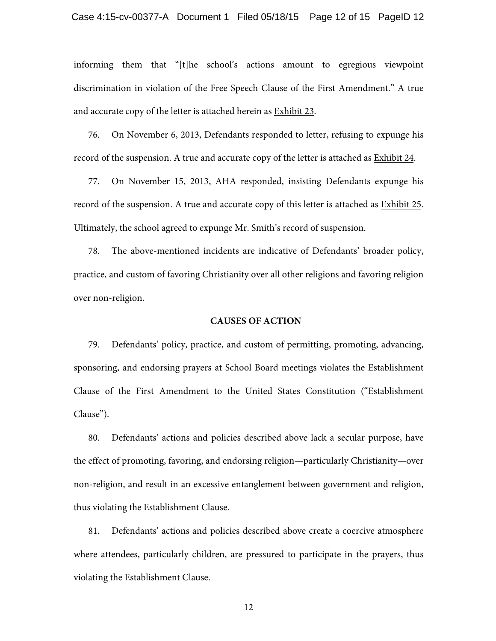informing them that "[t]he school's actions amount to egregious viewpoint discrimination in violation of the Free Speech Clause of the First Amendment." A true and accurate copy of the letter is attached herein as Exhibit 23.

76. On November 6, 2013, Defendants responded to letter, refusing to expunge his record of the suspension. A true and accurate copy of the letter is attached as Exhibit 24.

77. On November 15, 2013, AHA responded, insisting Defendants expunge his record of the suspension. A true and accurate copy of this letter is attached as Exhibit 25. Ultimately, the school agreed to expunge Mr. Smith's record of suspension.

78. The above-mentioned incidents are indicative of Defendants' broader policy, practice, and custom of favoring Christianity over all other religions and favoring religion over non-religion.

#### **CAUSES OF ACTION**

79. Defendants' policy, practice, and custom of permitting, promoting, advancing, sponsoring, and endorsing prayers at School Board meetings violates the Establishment Clause of the First Amendment to the United States Constitution ("Establishment Clause").

80. Defendants' actions and policies described above lack a secular purpose, have the effect of promoting, favoring, and endorsing religion—particularly Christianity—over non-religion, and result in an excessive entanglement between government and religion, thus violating the Establishment Clause.

81. Defendants' actions and policies described above create a coercive atmosphere where attendees, particularly children, are pressured to participate in the prayers, thus violating the Establishment Clause.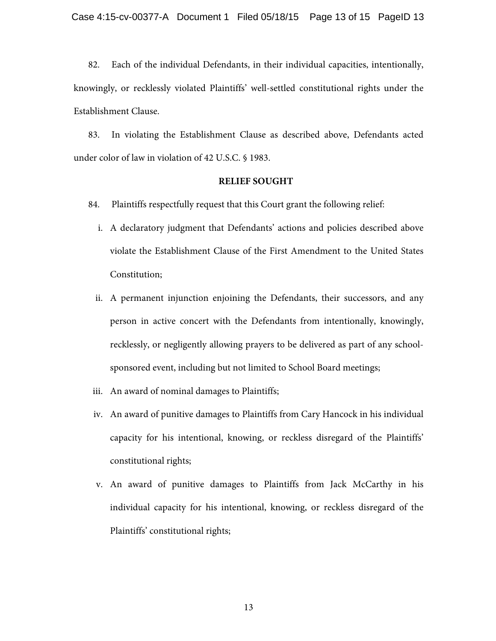82. Each of the individual Defendants, in their individual capacities, intentionally, knowingly, or recklessly violated Plaintiffs' well-settled constitutional rights under the Establishment Clause.

83. In violating the Establishment Clause as described above, Defendants acted under color of law in violation of 42 U.S.C. § 1983.

#### **RELIEF SOUGHT**

- 84. Plaintiffs respectfully request that this Court grant the following relief:
	- i. A declaratory judgment that Defendants' actions and policies described above violate the Establishment Clause of the First Amendment to the United States Constitution;
	- ii. A permanent injunction enjoining the Defendants, their successors, and any person in active concert with the Defendants from intentionally, knowingly, recklessly, or negligently allowing prayers to be delivered as part of any schoolsponsored event, including but not limited to School Board meetings;
- iii. An award of nominal damages to Plaintiffs;
- iv. An award of punitive damages to Plaintiffs from Cary Hancock in his individual capacity for his intentional, knowing, or reckless disregard of the Plaintiffs' constitutional rights;
- v. An award of punitive damages to Plaintiffs from Jack McCarthy in his individual capacity for his intentional, knowing, or reckless disregard of the Plaintiffs' constitutional rights;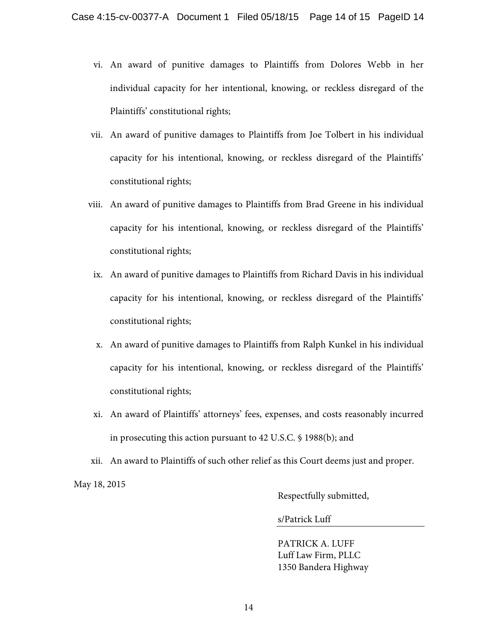- vi. An award of punitive damages to Plaintiffs from Dolores Webb in her individual capacity for her intentional, knowing, or reckless disregard of the Plaintiffs' constitutional rights;
- vii. An award of punitive damages to Plaintiffs from Joe Tolbert in his individual capacity for his intentional, knowing, or reckless disregard of the Plaintiffs' constitutional rights;
- viii. An award of punitive damages to Plaintiffs from Brad Greene in his individual capacity for his intentional, knowing, or reckless disregard of the Plaintiffs' constitutional rights;
- ix. An award of punitive damages to Plaintiffs from Richard Davis in his individual capacity for his intentional, knowing, or reckless disregard of the Plaintiffs' constitutional rights;
- x. An award of punitive damages to Plaintiffs from Ralph Kunkel in his individual capacity for his intentional, knowing, or reckless disregard of the Plaintiffs' constitutional rights;
- xi. An award of Plaintiffs' attorneys' fees, expenses, and costs reasonably incurred in prosecuting this action pursuant to 42 U.S.C. § 1988(b); and
- xii. An award to Plaintiffs of such other relief as this Court deems just and proper.

May 18, 2015

Respectfully submitted,

s/Patrick Luff

PATRICK A. LUFF Luff Law Firm, PLLC 1350 Bandera Highway